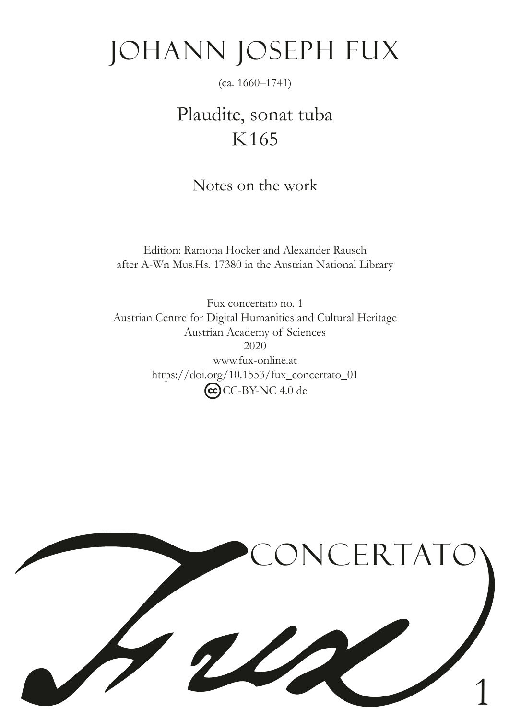# Johann Joseph Fux

(ca. 1660–1741)

## Plaudite, sonat tuba K165

Notes on the work

Edition: Ramona Hocker and Alexander Rausch after A-Wn Mus.Hs. 17380 in the Austrian National Library

Fux concertato no. 1 Austrian Centre for Digital Humanities and Cultural Heritage Austrian Academy of Sciences 2020 www.fux-online.at https://doi.org/10.1553/fux\_concertato\_01 CC-BY-NC 4.0 de

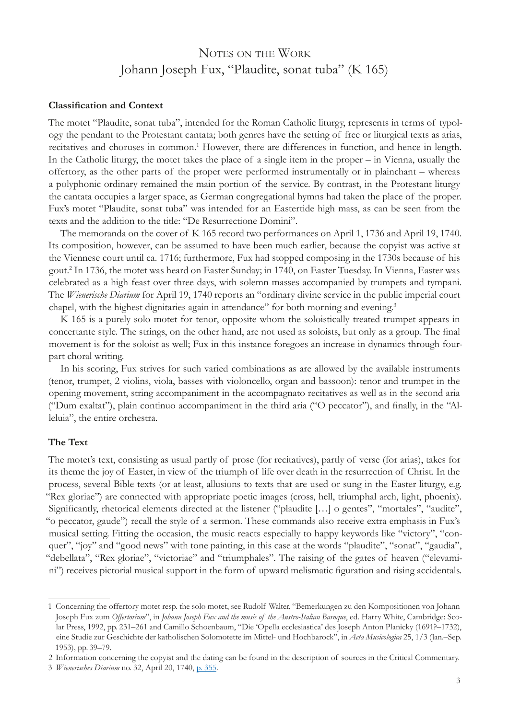### NOTES ON THE WORK Johann Joseph Fux, "Plaudite, sonat tuba" (K 165)

#### **Classifcation and Context**

The motet "Plaudite, sonat tuba", intended for the Roman Catholic liturgy, represents in terms of typology the pendant to the Protestant cantata; both genres have the setting of free or liturgical texts as arias, recitatives and choruses in common.<sup>1</sup> However, there are differences in function, and hence in length. In the Catholic liturgy, the motet takes the place of a single item in the proper – in Vienna, usually the offertory, as the other parts of the proper were performed instrumentally or in plainchant – whereas a polyphonic ordinary remained the main portion of the service. By contrast, in the Protestant liturgy the cantata occupies a larger space, as German congregational hymns had taken the place of the proper. Fux's motet "Plaudite, sonat tuba" was intended for an Eastertide high mass, as can be seen from the texts and the addition to the title: "De Resurrectione Domini".

The memoranda on the cover of K 165 record two performances on April 1, 1736 and April 19, 1740. Its composition, however, can be assumed to have been much earlier, because the copyist was active at the Viennese court until ca. 1716; furthermore, Fux had stopped composing in the 1730s because of his gout.2 In 1736, the motet was heard on Easter Sunday; in 1740, on Easter Tuesday. In Vienna, Easter was celebrated as a high feast over three days, with solemn masses accompanied by trumpets and tympani. The *Wienerische Diarium* for April 19, 1740 reports an "ordinary divine service in the public imperial court chapel, with the highest dignitaries again in attendance" for both morning and evening.<sup>3</sup>

K 165 is a purely solo motet for tenor, opposite whom the soloistically treated trumpet appears in concertante style. The strings, on the other hand, are not used as soloists, but only as a group. The fnal movement is for the soloist as well; Fux in this instance foregoes an increase in dynamics through fourpart choral writing.

In his scoring, Fux strives for such varied combinations as are allowed by the available instruments (tenor, trumpet, 2 violins, viola, basses with violoncello, organ and bassoon): tenor and trumpet in the opening movement, string accompaniment in the accompagnato recitatives as well as in the second aria ("Dum exaltat"), plain continuo accompaniment in the third aria ("O peccator"), and fnally, in the "Alleluia", the entire orchestra.

#### **The Text**

The motet's text, consisting as usual partly of prose (for recitatives), partly of verse (for arias), takes for its theme the joy of Easter, in view of the triumph of life over death in the resurrection of Christ. In the process, several Bible texts (or at least, allusions to texts that are used or sung in the Easter liturgy, e.g. "Rex gloriae") are connected with appropriate poetic images (cross, hell, triumphal arch, light, phoenix). Signifcantly, rhetorical elements directed at the listener ("plaudite […] o gentes", "mortales", "audite", "o peccator, gaude") recall the style of a sermon. These commands also receive extra emphasis in Fux's musical setting. Fitting the occasion, the music reacts especially to happy keywords like "victory", "conquer", "joy" and "good news" with tone painting, in this case at the words "plaudite", "sonat", "gaudia", "debellata", "Rex gloriae", "victoriae" and "triumphales". The raising of the gates of heaven ("elevamini") receives pictorial musical support in the form of upward melismatic fguration and rising accidentals.

<sup>1</sup> Concerning the offertory motet resp. the solo motet, see Rudolf Walter, "Bemerkungen zu den Kompositionen von Johann Joseph Fux zum *Offertorium*", in *Johann Joseph Fux and the music of the Austro-Italian Baroque*, ed. Harry White, Cambridge: Scolar Press, 1992, pp. 231–261 and Camillo Schoenbaum, "Die 'Opella ecclesiastica' des Joseph Anton Planicky (1691?–1732), eine Studie zur Geschichte der katholischen Solomotette im Mittel- und Hochbarock", in *Acta Musicologica* 25, 1/3 (Jan.–Sep. 1953), pp. 39–79.

<sup>2</sup> Information concerning the copyist and the dating can be found in the description of sources in the Critical Commentary.

<sup>3</sup> *Wienerisches Diarium* no. 32, April 20, 1740, p. [355](http://anno.onb.ac.at/cgi-content/anno?aid=wrz&datum=17400420&seite=7&zoom=33).